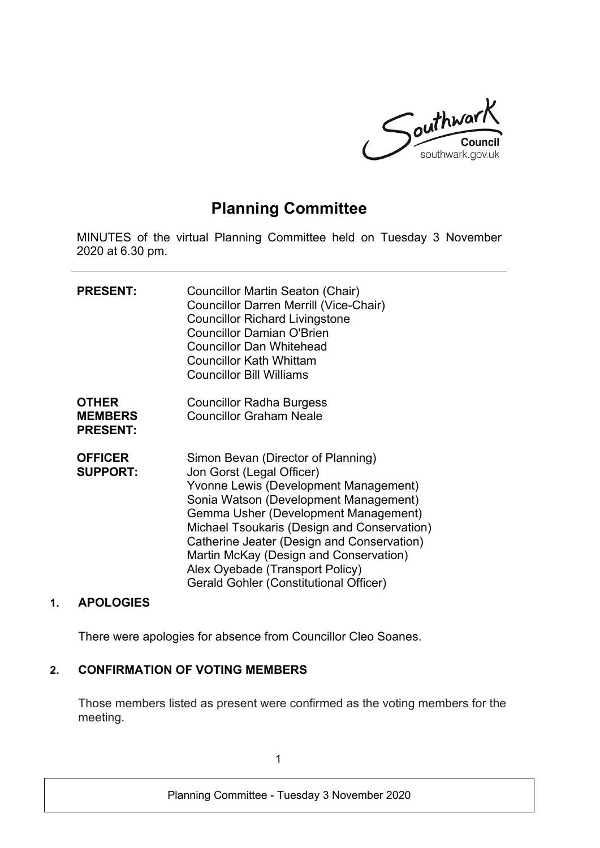

# **Planning Committee**

MINUTES of the virtual Planning Committee held on Tuesday 3 November 2020 at 6.30 pm.

| <b>PRESENT:</b>                                   | Councillor Martin Seaton (Chair)<br><b>Councillor Darren Merrill (Vice-Chair)</b><br><b>Councillor Richard Livingstone</b><br><b>Councillor Damian O'Brien</b><br><b>Councillor Dan Whitehead</b><br><b>Councillor Kath Whittam</b><br><b>Councillor Bill Williams</b>                                                                                                                                        |
|---------------------------------------------------|---------------------------------------------------------------------------------------------------------------------------------------------------------------------------------------------------------------------------------------------------------------------------------------------------------------------------------------------------------------------------------------------------------------|
| <b>OTHER</b><br><b>MEMBERS</b><br><b>PRESENT:</b> | <b>Councillor Radha Burgess</b><br><b>Councillor Graham Neale</b>                                                                                                                                                                                                                                                                                                                                             |
| <b>OFFICER</b><br><b>SUPPORT:</b>                 | Simon Bevan (Director of Planning)<br>Jon Gorst (Legal Officer)<br>Yvonne Lewis (Development Management)<br>Sonia Watson (Development Management)<br>Gemma Usher (Development Management)<br>Michael Tsoukaris (Design and Conservation)<br>Catherine Jeater (Design and Conservation)<br>Martin McKay (Design and Conservation)<br>Alex Oyebade (Transport Policy)<br>Gerald Gohler (Constitutional Officer) |

#### **1. APOLOGIES**

There were apologies for absence from Councillor Cleo Soanes.

## **2. CONFIRMATION OF VOTING MEMBERS**

Those members listed as present were confirmed as the voting members for the meeting.

1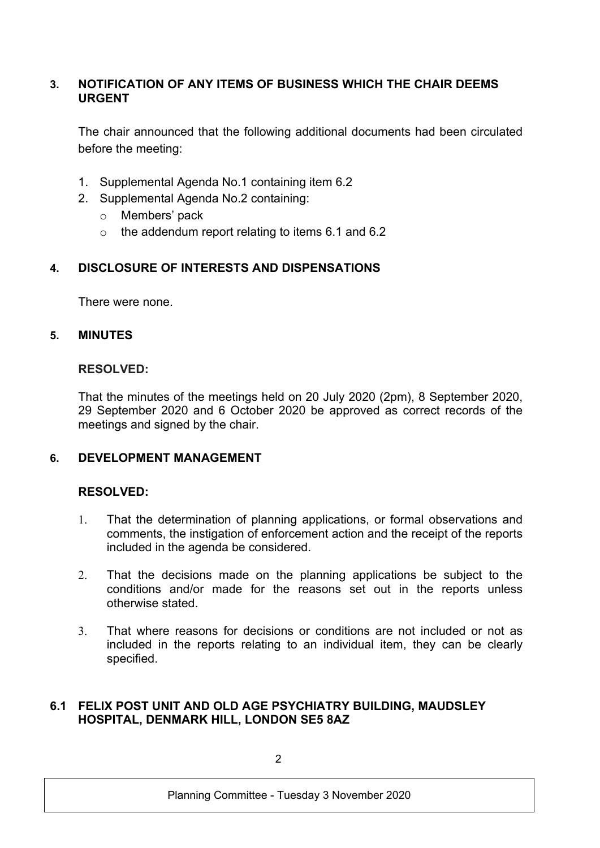## **3. NOTIFICATION OF ANY ITEMS OF BUSINESS WHICH THE CHAIR DEEMS URGENT**

The chair announced that the following additional documents had been circulated before the meeting:

- 1. Supplemental Agenda No.1 containing item 6.2
- 2. Supplemental Agenda No.2 containing:
	- o Members' pack
	- o the addendum report relating to items 6.1 and 6.2

# **4. DISCLOSURE OF INTERESTS AND DISPENSATIONS**

There were none.

## **5. MINUTES**

## **RESOLVED:**

That the minutes of the meetings held on 20 July 2020 (2pm), 8 September 2020, 29 September 2020 and 6 October 2020 be approved as correct records of the meetings and signed by the chair.

## **6. DEVELOPMENT MANAGEMENT**

## **RESOLVED:**

- 1. That the determination of planning applications, or formal observations and comments, the instigation of enforcement action and the receipt of the reports included in the agenda be considered.
- 2. That the decisions made on the planning applications be subject to the conditions and/or made for the reasons set out in the reports unless otherwise stated.
- 3. That where reasons for decisions or conditions are not included or not as included in the reports relating to an individual item, they can be clearly specified.

#### **6.1 FELIX POST UNIT AND OLD AGE PSYCHIATRY BUILDING, MAUDSLEY HOSPITAL, DENMARK HILL, LONDON SE5 8AZ**

 $\mathcal{D}$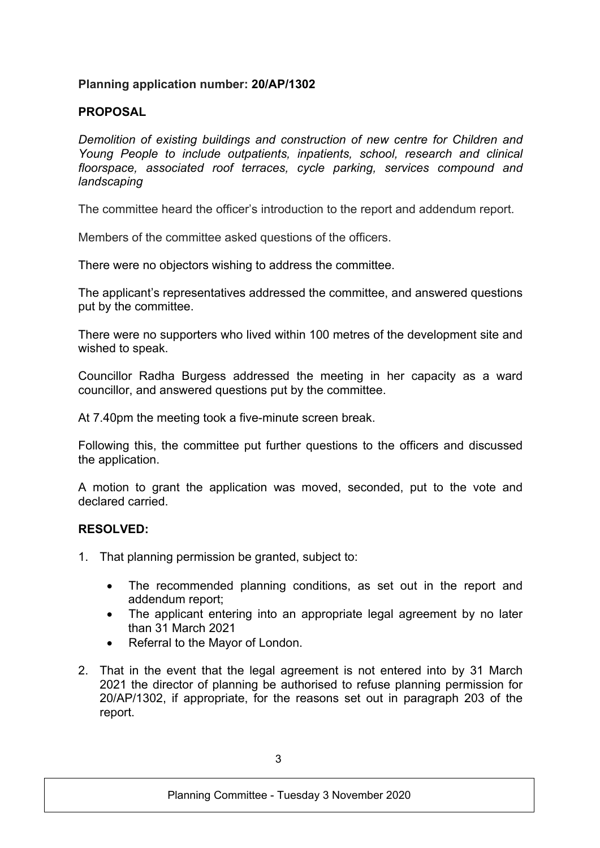### **Planning application number: 20/AP/1302**

## **PROPOSAL**

*Demolition of existing buildings and construction of new centre for Children and Young People to include outpatients, inpatients, school, research and clinical floorspace, associated roof terraces, cycle parking, services compound and landscaping*

The committee heard the officer's introduction to the report and addendum report.

Members of the committee asked questions of the officers.

There were no objectors wishing to address the committee.

The applicant's representatives addressed the committee, and answered questions put by the committee.

There were no supporters who lived within 100 metres of the development site and wished to speak.

Councillor Radha Burgess addressed the meeting in her capacity as a ward councillor, and answered questions put by the committee.

At 7.40pm the meeting took a five-minute screen break.

Following this, the committee put further questions to the officers and discussed the application.

A motion to grant the application was moved, seconded, put to the vote and declared carried.

#### **RESOLVED:**

- 1. That planning permission be granted, subject to:
	- The recommended planning conditions, as set out in the report and addendum report;
	- The applicant entering into an appropriate legal agreement by no later than 31 March 2021
	- Referral to the Mayor of London.
- 2. That in the event that the legal agreement is not entered into by 31 March 2021 the director of planning be authorised to refuse planning permission for 20/AP/1302, if appropriate, for the reasons set out in paragraph 203 of the report.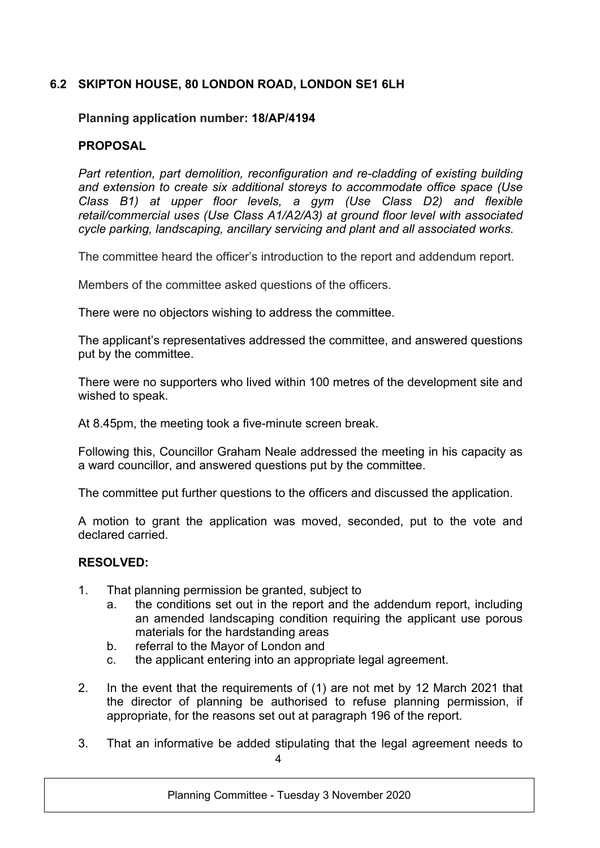## **6.2 SKIPTON HOUSE, 80 LONDON ROAD, LONDON SE1 6LH**

#### **Planning application number: 18/AP/4194**

#### **PROPOSAL**

*Part retention, part demolition, reconfiguration and re-cladding of existing building and extension to create six additional storeys to accommodate office space (Use Class B1) at upper floor levels, a gym (Use Class D2) and flexible retail/commercial uses (Use Class A1/A2/A3) at ground floor level with associated cycle parking, landscaping, ancillary servicing and plant and all associated works.*

The committee heard the officer's introduction to the report and addendum report.

Members of the committee asked questions of the officers.

There were no objectors wishing to address the committee.

The applicant's representatives addressed the committee, and answered questions put by the committee.

There were no supporters who lived within 100 metres of the development site and wished to speak.

At 8.45pm, the meeting took a five-minute screen break.

Following this, Councillor Graham Neale addressed the meeting in his capacity as a ward councillor, and answered questions put by the committee.

The committee put further questions to the officers and discussed the application.

A motion to grant the application was moved, seconded, put to the vote and declared carried.

#### **RESOLVED:**

- 1. That planning permission be granted, subject to
	- a. the conditions set out in the report and the addendum report, including an amended landscaping condition requiring the applicant use porous materials for the hardstanding areas
	- b. referral to the Mayor of London and
	- c. the applicant entering into an appropriate legal agreement.
- 2. In the event that the requirements of (1) are not met by 12 March 2021 that the director of planning be authorised to refuse planning permission, if appropriate, for the reasons set out at paragraph 196 of the report.
- 4 3. That an informative be added stipulating that the legal agreement needs to